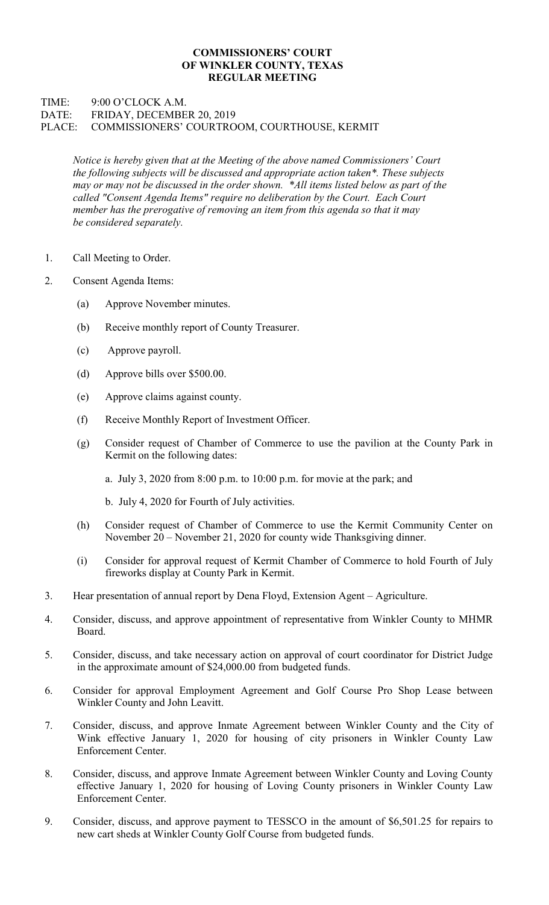## COMMISSIONERS' COURT OF WINKLER COUNTY, TEXAS REGULAR MEETING

## TIME: 9:00 O'CLOCK A.M. DATE: FRIDAY, DECEMBER 20, 2019 PLACE: COMMISSIONERS' COURTROOM, COURTHOUSE, KERMIT

Notice is hereby given that at the Meeting of the above named Commissioners' Court the following subjects will be discussed and appropriate action taken\*. These subjects may or may not be discussed in the order shown. \*All items listed below as part of the called "Consent Agenda Items" require no deliberation by the Court. Each Court member has the prerogative of removing an item from this agenda so that it may be considered separately.

- 1. Call Meeting to Order.
- 2. Consent Agenda Items:
	- (a) Approve November minutes.
	- (b) Receive monthly report of County Treasurer.
	- (c) Approve payroll.
	- (d) Approve bills over \$500.00.
	- (e) Approve claims against county.
	- (f) Receive Monthly Report of Investment Officer.
	- (g) Consider request of Chamber of Commerce to use the pavilion at the County Park in Kermit on the following dates:
		- a. July 3, 2020 from 8:00 p.m. to 10:00 p.m. for movie at the park; and
		- b. July 4, 2020 for Fourth of July activities.
	- (h) Consider request of Chamber of Commerce to use the Kermit Community Center on November 20 – November 21, 2020 for county wide Thanksgiving dinner.
	- (i) Consider for approval request of Kermit Chamber of Commerce to hold Fourth of July fireworks display at County Park in Kermit.
- 3. Hear presentation of annual report by Dena Floyd, Extension Agent Agriculture.
- 4. Consider, discuss, and approve appointment of representative from Winkler County to MHMR Board.
- 5. Consider, discuss, and take necessary action on approval of court coordinator for District Judge in the approximate amount of \$24,000.00 from budgeted funds.
- 6. Consider for approval Employment Agreement and Golf Course Pro Shop Lease between Winkler County and John Leavitt.
- 7. Consider, discuss, and approve Inmate Agreement between Winkler County and the City of Wink effective January 1, 2020 for housing of city prisoners in Winkler County Law Enforcement Center.
- 8. Consider, discuss, and approve Inmate Agreement between Winkler County and Loving County effective January 1, 2020 for housing of Loving County prisoners in Winkler County Law Enforcement Center.
- 9. Consider, discuss, and approve payment to TESSCO in the amount of \$6,501.25 for repairs to new cart sheds at Winkler County Golf Course from budgeted funds.